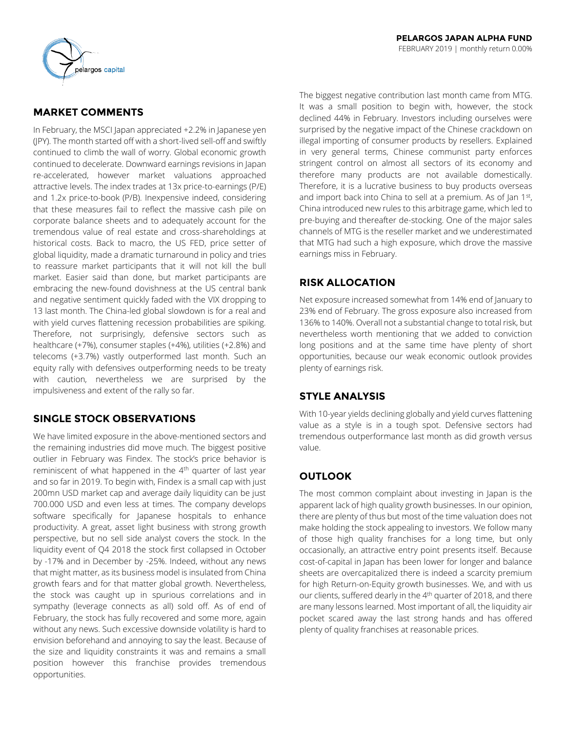

# **MARKET COMMENTS**

In February, the MSCI Japan appreciated +2.2% in Japanese yen (JPY). The month started off with a short-lived sell-off and swiftly continued to climb the wall of worry. Global economic growth continued to decelerate. Downward earnings revisions in Japan re-accelerated, however market valuations approached attractive levels. The index trades at 13x price-to-earnings (P/E) and 1.2x price-to-book (P/B). Inexpensive indeed, considering that these measures fail to reflect the massive cash pile on corporate balance sheets and to adequately account for the tremendous value of real estate and cross-shareholdings at historical costs. Back to macro, the US FED, price setter of global liquidity, made a dramatic turnaround in policy and tries to reassure market participants that it will not kill the bull market. Easier said than done, but market participants are embracing the new-found dovishness at the US central bank and negative sentiment quickly faded with the VIX dropping to 13 last month. The China-led global slowdown is for a real and with yield curves flattening recession probabilities are spiking. Therefore, not surprisingly, defensive sectors such as healthcare (+7%), consumer staples (+4%), utilities (+2.8%) and telecoms (+3.7%) vastly outperformed last month. Such an equity rally with defensives outperforming needs to be treaty with caution, nevertheless we are surprised by the impulsiveness and extent of the rally so far.

# **SINGLE STOCK OBSERVATIONS**

We have limited exposure in the above-mentioned sectors and the remaining industries did move much. The biggest positive outlier in February was Findex. The stock's price behavior is reminiscent of what happened in the  $4<sup>th</sup>$  quarter of last year and so far in 2019. To begin with, Findex is a small cap with just 200mn USD market cap and average daily liquidity can be just 700.000 USD and even less at times. The company develops software specifically for Japanese hospitals to enhance productivity. A great, asset light business with strong growth perspective, but no sell side analyst covers the stock. In the liquidity event of Q4 2018 the stock first collapsed in October by -17% and in December by -25%. Indeed, without any news that might matter, as its business model is insulated from China growth fears and for that matter global growth. Nevertheless, the stock was caught up in spurious correlations and in sympathy (leverage connects as all) sold off. As of end of February, the stock has fully recovered and some more, again without any news. Such excessive downside volatility is hard to envision beforehand and annoying to say the least. Because of the size and liquidity constraints it was and remains a small position however this franchise provides tremendous opportunities.

The biggest negative contribution last month came from MTG. It was a small position to begin with, however, the stock declined 44% in February. Investors including ourselves were surprised by the negative impact of the Chinese crackdown on illegal importing of consumer products by resellers. Explained in very general terms, Chinese communist party enforces stringent control on almost all sectors of its economy and therefore many products are not available domestically. Therefore, it is a lucrative business to buy products overseas and import back into China to sell at a premium. As of Jan 1st, China introduced new rules to this arbitrage game, which led to pre-buying and thereafter de-stocking. One of the major sales channels of MTG is the reseller market and we underestimated that MTG had such a high exposure, which drove the massive earnings miss in February.

## **RISK ALLOCATION**

Net exposure increased somewhat from 14% end of January to 23% end of February. The gross exposure also increased from 136% to 140%. Overall not a substantial change to total risk, but nevertheless worth mentioning that we added to conviction long positions and at the same time have plenty of short opportunities, because our weak economic outlook provides plenty of earnings risk.

# **STYLE ANALYSIS**

With 10-year yields declining globally and yield curves flattening value as a style is in a tough spot. Defensive sectors had tremendous outperformance last month as did growth versus value.

# **OUTLOOK**

The most common complaint about investing in Japan is the apparent lack of high quality growth businesses. In our opinion, there are plenty of thus but most of the time valuation does not make holding the stock appealing to investors. We follow many of those high quality franchises for a long time, but only occasionally, an attractive entry point presents itself. Because cost-of-capital in Japan has been lower for longer and balance sheets are overcapitalized there is indeed a scarcity premium for high Return-on-Equity growth businesses. We, and with us our clients, suffered dearly in the 4<sup>th</sup> quarter of 2018, and there are many lessons learned. Most important of all, the liquidity air pocket scared away the last strong hands and has offered plenty of quality franchises at reasonable prices.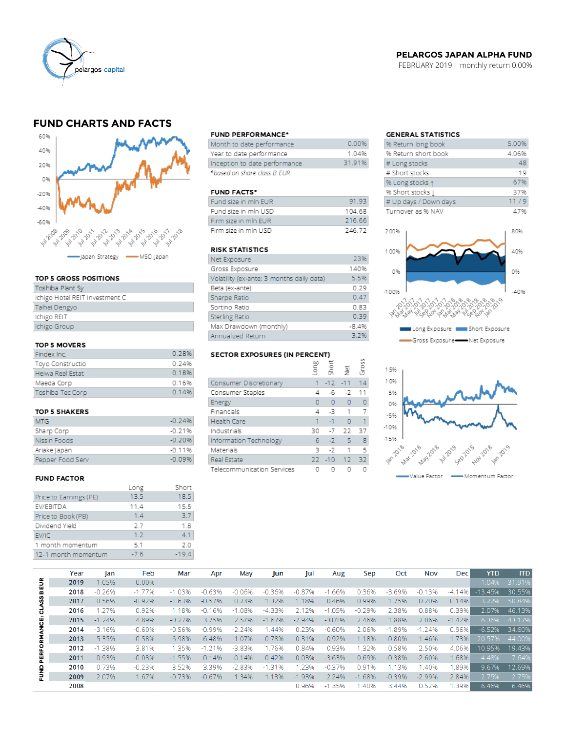

## **PELARGOS JAPAN ALPHA FUND**

FEBRUARY 2019 | monthly return 0.00%

# **FUND CHARTS AND FACTS**



#### TOP 5 GROSS POSITIONS

| Toshiba Plant Sy               |
|--------------------------------|
| Ichigo Hotel REIT Investment C |
| Taihei Dengyo                  |
| Ichigo REIT                    |
| Ichigo Group                   |
|                                |

### TOP 5 MOVERS

| Findex Inc.      | 0.28% |
|------------------|-------|
| Toyo Constructio | 0.24% |
| Heiwa Real Estat | 0.18% |
| Maeda Corp       | 0.16% |
| Toshiba Tec Corp | 0.14% |

#### TOP 5 SHAKERS

| MTG              | $-0.24%$ |
|------------------|----------|
| Sharp Corp       | $-0.21%$ |
| Nissin Foods     | $-0.20%$ |
| Ariake Japan     | $-0.11%$ |
| Pepper Food Serv | -0.09%   |

#### **FUND FACTOR**

|                        | Long   | Short   |
|------------------------|--------|---------|
| Price to Earnings (PE) | 13.5   | 18.5    |
| EV/EBITDA              | 11.4   | 15.5    |
| Price to Book (PB)     | 1.4    | 3.7     |
| Dividend Yield         | 2.7    | 1.8     |
| EV/IC                  | 1.2    | 41      |
| 1 month momentum       | 5.1    | 2 O     |
| 12-1 month momentum    | $-7.6$ | $-19.4$ |

#### **FUND PERFORMANCE\***

| Month to date performance     | 0.00%  |
|-------------------------------|--------|
| Year to date performance      | 1 04%  |
| Inception to date performance | 31.91% |
| *based on share class B EUR   |        |

#### **FUND FACTS\***

| Fund size in min EUR | 91.93  |
|----------------------|--------|
| Fund size in mln USD | 104.68 |
| Firm size in min FUR | 216.66 |
| Firm size in min USD | 746 77 |

## **RISK STATISTICS**

| Net Exposure                              | 23%     |
|-------------------------------------------|---------|
| Gross Exposure                            | 140%    |
| Volatility (ex-ante; 3 months daily data) | 5.5%    |
| Beta (ex-ante)                            | 0.29    |
| Sharpe Ratio                              | 0.47    |
| Sortino Ratio                             | 0.83    |
| Sterling Ratio                            | 0.39    |
| Max Drawdown (monthly)                    | $-8.4%$ |
| Annualized Return                         | 3.2%    |

# SECTOR EXPOSURES (IN PERCENT)

|                            | ξ  | ā.        | ğ              | ğ  |
|----------------------------|----|-----------|----------------|----|
| Consumer Discretionary     | 1. | $-12 -11$ |                | 14 |
| Consumer Staples           | 4  | -6        | -2             | 11 |
| Energy                     | 0  | $\circ$   | $\circ$        | 0  |
| Financials                 | 4  | -3 -      | $\overline{1}$ |    |
| Health Care                | 1  | $-1$      | $\Omega$       | 1  |
| Industrials                | 30 | $-7$      | 22             | 37 |
| Information Technology     | 6  | $-7$      | -5             | 8  |
| Materials                  | 3  | $-7$      | 1              | 5  |
| Real Estate                | 22 | $-10$ 12  |                | 32 |
| Telecommunication Services |    |           |                |    |

 $\overline{2}$ 

## **GENERAL STATISTICS**

| % Return long book    | 5.00% |
|-----------------------|-------|
| % Return short book   | 4.06% |
| # Long stocks         | 48    |
| # Short stocks        | 19    |
| % Long stocks 1       | 67%   |
| % Short stocks [      | 37%   |
| # Up days / Down days | 11/9  |
| Turnover as % NAV     | 47%   |
|                       |       |





|                     | Year | lan      | Feb      | Mar      | Apr      | May      | Jun      | Jul      | Aug      | Sep      | Oct      | Nov      | Dec       | <b>YTD</b> | <b>ITD</b> |
|---------------------|------|----------|----------|----------|----------|----------|----------|----------|----------|----------|----------|----------|-----------|------------|------------|
| <b>CLASS BEUR</b>   | 2019 | 1.05%    | 0.00%    |          |          |          |          |          |          |          |          |          |           | 1.04%      | 31.91%     |
|                     | 2018 | $-0.26%$ | $-1.77%$ | $-1.03%$ | $-0.63%$ | $-0.06%$ | $-0.36%$ | $-0.87%$ | $-1.66%$ | 0.36%    | $-3.69%$ | $-0.13%$ | $-4.14\%$ | $-13.45%$  | 30.55%     |
|                     | 2017 | 0.56%    | $-0.92%$ | $-1.63%$ | $-0.57%$ | 0.23%    | 1.32%    | 1.18%    | 0.46%    | 0.99%    | 1.25%    | 0.20%    | 0.14%     | 3.22%      | 50.84%     |
|                     | 2016 | 1.27%    | 0.92%    | 1.18%    | $-0.16%$ | $-1.08%$ | $-4.33%$ | 2.12%    | $-1.05%$ | $-0.29%$ | 2.38%    | 0.88%    | 0.39%     | 2.07%      | 46.13%     |
|                     | 2015 | $-1.24%$ | 4.89%    | $-0.27%$ | 3.25%    | 2.57%    | $-1.67%$ | $-2.94%$ | $-3.01%$ | 2.46%    | 1.88%    | 2.06%    | $-1.42%$  | 6.36%      | 43.17%     |
| <b>PERFORMANCE:</b> | 2014 | $-3.16%$ | $-0.60%$ | $-0.56%$ | $-0.99%$ | $-2.24%$ | .44%     | 0.23%    | $-0.60%$ | 2.06%    | $-1.89%$ | $-1.24%$ | 0.96%     | $-6.52%$   | 34.60%     |
|                     | 2013 | 5.35%    | $-0.58%$ | 6.98%    | 6.48%    | $-1.07%$ | $-0.78%$ | 0.31%    | $-0.92%$ | 1.18%    | $-0.80%$ | 1.46%    | 1.73%     | 20.57%     | 44.00%     |
|                     | 2012 | $-1.38%$ | 3.81%    | 1.35%    | $-1.21%$ | $-3.83%$ | 1.76%    | 0.84%    | 0.93%    | .32%     | 0.58%    | 2.50%    | 4.06%     | 10.95%     | 19.43%     |
|                     | 2011 | 0.93%    | $-0.03%$ | $-1.55%$ | 0.14%    | $-0.14%$ | 0.42%    | 0.03%    | $-3.63%$ | 0.69%    | $-0.38%$ | $-2.60%$ | 1.68%     | $-4.48%$   | 7.64%      |
|                     | 2010 | 0.73%    | $-0.23%$ | 3.52%    | 3.39%    | $-2.83%$ | $-1.31%$ | 1.23%    | $-0.37%$ | 0.91%    | 1.13%    | 1.40%    | .89%      | 9.67%      | 12.69%     |
| 문<br>고              | 2009 | 2.07%    | 1.67%    | $-0.73%$ | $-0.67%$ | 1.34%    | 1.13%    | $-1.93%$ | 2.24%    | $-1.68%$ | $-0.39%$ | $-2.99%$ | 2.84%     | 2.75%      | 2.75%      |
|                     | 2008 |          |          |          |          |          |          | 0.96%    | $-1.35%$ | .40%     | 3.44%    | 0.52%    | 1.39%     | 6.46%      | 6.46%      |